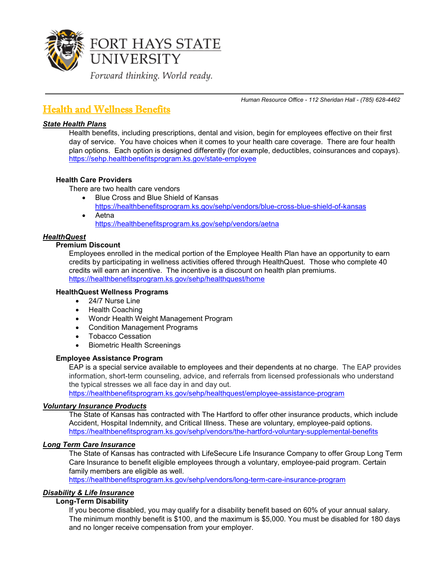

*Human Resource Office - 112 Sheridan Hall - (785) 628-4462*

# Health and Wellness Benefits

#### *State Health Plans*

Health benefits, including prescriptions, dental and vision, begin for employees effective on their first day of service. You have choices when it comes to your health care coverage. There are four health plan options. Each option is designed differently (for example, deductibles, coinsurances and copays). <https://sehp.healthbenefitsprogram.ks.gov/state-employee>

#### **Health Care Providers**

There are two health care vendors

- Blue Cross and Blue Shield of Kansas <https://healthbenefitsprogram.ks.gov/sehp/vendors/blue-cross-blue-shield-of-kansas>
- Aetna <https://healthbenefitsprogram.ks.gov/sehp/vendors/aetna>

#### *HealthQuest*

#### **Premium Discount**

Employees enrolled in the medical portion of the Employee Health Plan have an opportunity to earn credits by participating in wellness activities offered through HealthQuest. Those who complete 40 credits will earn an incentive. The incentive is a discount on health plan premiums. <https://healthbenefitsprogram.ks.gov/sehp/healthquest/home>

#### **HealthQuest Wellness Programs**

- 24/7 Nurse Line
- Health Coaching
- Wondr Health Weight Management Program
- Condition Management Programs
- Tobacco Cessation
- Biometric Health Screenings

#### **Employee Assistance Program**

EAP is a special service available to employees and their dependents at no charge. The EAP provides information, short-term counseling, advice, and referrals from licensed professionals who understand the typical stresses we all face day in and day out.

<https://healthbenefitsprogram.ks.gov/sehp/healthquest/employee-assistance-program>

#### *Voluntary Insurance Products*

The State of Kansas has contracted with The Hartford to offer other insurance products, which include Accident, Hospital Indemnity, and Critical Illness. These are voluntary, employee-paid options. <https://healthbenefitsprogram.ks.gov/sehp/vendors/the-hartford-voluntary-supplemental-benefits>

#### *Long Term Care Insurance*

The State of Kansas has contracted with LifeSecure Life Insurance Company to offer Group Long Term Care Insurance to benefit eligible employees through a voluntary, employee-paid program. Certain family members are eligible as well.

<https://healthbenefitsprogram.ks.gov/sehp/vendors/long-term-care-insurance-program>

#### *Disability & Life Insurance*

### **Long-Term Disability**

If you become disabled, you may qualify for a disability benefit based on 60% of your annual salary. The minimum monthly benefit is \$100, and the maximum is \$5,000. You must be disabled for 180 days and no longer receive compensation from your employer.